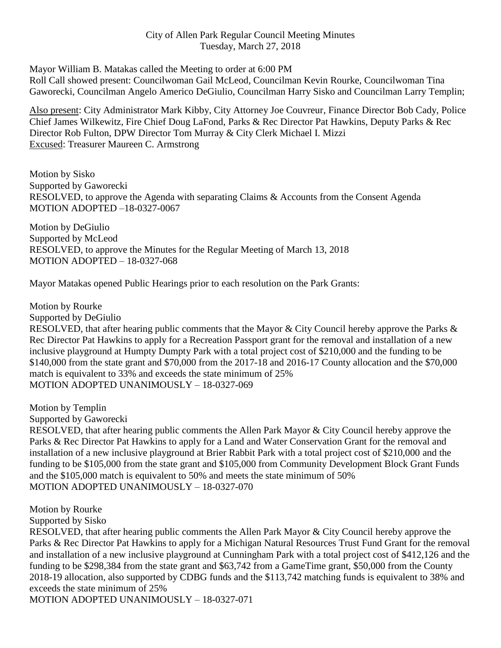# City of Allen Park Regular Council Meeting Minutes Tuesday, March 27, 2018

Mayor William B. Matakas called the Meeting to order at 6:00 PM

Roll Call showed present: Councilwoman Gail McLeod, Councilman Kevin Rourke, Councilwoman Tina Gaworecki, Councilman Angelo Americo DeGiulio, Councilman Harry Sisko and Councilman Larry Templin;

Also present: City Administrator Mark Kibby, City Attorney Joe Couvreur, Finance Director Bob Cady, Police Chief James Wilkewitz, Fire Chief Doug LaFond, Parks & Rec Director Pat Hawkins, Deputy Parks & Rec Director Rob Fulton, DPW Director Tom Murray & City Clerk Michael I. Mizzi Excused: Treasurer Maureen C. Armstrong

Motion by Sisko Supported by Gaworecki RESOLVED, to approve the Agenda with separating Claims & Accounts from the Consent Agenda MOTION ADOPTED –18-0327-0067

Motion by DeGiulio Supported by McLeod RESOLVED, to approve the Minutes for the Regular Meeting of March 13, 2018 MOTION ADOPTED – 18-0327-068

Mayor Matakas opened Public Hearings prior to each resolution on the Park Grants:

Motion by Rourke

Supported by DeGiulio

RESOLVED, that after hearing public comments that the Mayor & City Council hereby approve the Parks & Rec Director Pat Hawkins to apply for a Recreation Passport grant for the removal and installation of a new inclusive playground at Humpty Dumpty Park with a total project cost of \$210,000 and the funding to be \$140,000 from the state grant and \$70,000 from the 2017-18 and 2016-17 County allocation and the \$70,000 match is equivalent to 33% and exceeds the state minimum of 25% MOTION ADOPTED UNANIMOUSLY – 18-0327-069

Motion by Templin

Supported by Gaworecki

RESOLVED, that after hearing public comments the Allen Park Mayor & City Council hereby approve the Parks & Rec Director Pat Hawkins to apply for a Land and Water Conservation Grant for the removal and installation of a new inclusive playground at Brier Rabbit Park with a total project cost of \$210,000 and the funding to be \$105,000 from the state grant and \$105,000 from Community Development Block Grant Funds and the \$105,000 match is equivalent to 50% and meets the state minimum of 50% MOTION ADOPTED UNANIMOUSLY – 18-0327-070

Motion by Rourke

Supported by Sisko

RESOLVED, that after hearing public comments the Allen Park Mayor & City Council hereby approve the Parks & Rec Director Pat Hawkins to apply for a Michigan Natural Resources Trust Fund Grant for the removal and installation of a new inclusive playground at Cunningham Park with a total project cost of \$412,126 and the funding to be \$298,384 from the state grant and \$63,742 from a GameTime grant, \$50,000 from the County 2018-19 allocation, also supported by CDBG funds and the \$113,742 matching funds is equivalent to 38% and exceeds the state minimum of 25%

MOTION ADOPTED UNANIMOUSLY – 18-0327-071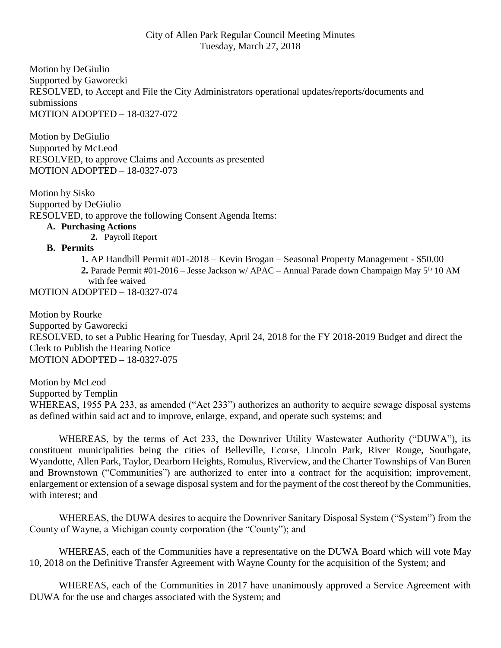### City of Allen Park Regular Council Meeting Minutes Tuesday, March 27, 2018

Motion by DeGiulio Supported by Gaworecki RESOLVED, to Accept and File the City Administrators operational updates/reports/documents and submissions MOTION ADOPTED – 18-0327-072

Motion by DeGiulio Supported by McLeod RESOLVED, to approve Claims and Accounts as presented MOTION ADOPTED – 18-0327-073

Motion by Sisko Supported by DeGiulio RESOLVED, to approve the following Consent Agenda Items: **A. Purchasing Actions**

**2.** Payroll Report

### **B. Permits**

 **1.** AP Handbill Permit #01-2018 – Kevin Brogan – Seasonal Property Management - \$50.00 2. Parade Permit #01-2016 – Jesse Jackson w/ APAC – Annual Parade down Champaign May 5<sup>th</sup> 10 AM with fee waived

MOTION ADOPTED – 18-0327-074

Motion by Rourke Supported by Gaworecki RESOLVED, to set a Public Hearing for Tuesday, April 24, 2018 for the FY 2018-2019 Budget and direct the Clerk to Publish the Hearing Notice MOTION ADOPTED – 18-0327-075

Motion by McLeod Supported by Templin WHEREAS, 1955 PA 233, as amended ("Act 233") authorizes an authority to acquire sewage disposal systems as defined within said act and to improve, enlarge, expand, and operate such systems; and

WHEREAS, by the terms of Act 233, the Downriver Utility Wastewater Authority ("DUWA"), its constituent municipalities being the cities of Belleville, Ecorse, Lincoln Park, River Rouge, Southgate, Wyandotte, Allen Park, Taylor, Dearborn Heights, Romulus, Riverview, and the Charter Townships of Van Buren and Brownstown ("Communities") are authorized to enter into a contract for the acquisition; improvement, enlargement or extension of a sewage disposal system and for the payment of the cost thereof by the Communities, with interest; and

WHEREAS, the DUWA desires to acquire the Downriver Sanitary Disposal System ("System") from the County of Wayne, a Michigan county corporation (the "County"); and

WHEREAS, each of the Communities have a representative on the DUWA Board which will vote May 10, 2018 on the Definitive Transfer Agreement with Wayne County for the acquisition of the System; and

WHEREAS, each of the Communities in 2017 have unanimously approved a Service Agreement with DUWA for the use and charges associated with the System; and